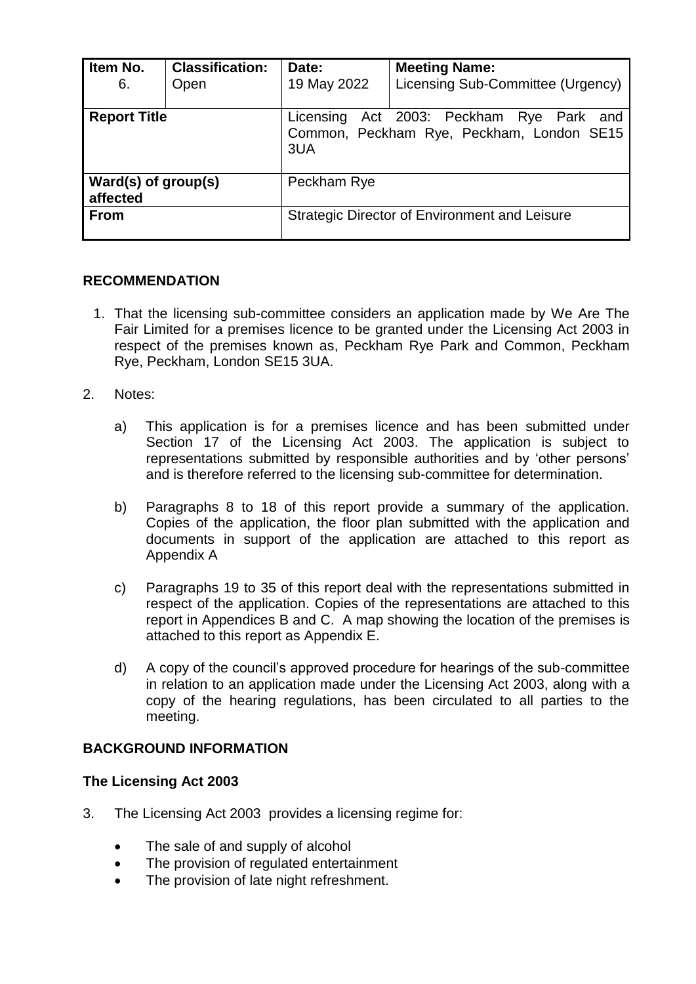| Item No.<br>6.                  | <b>Classification:</b><br>Open | Date:<br>19 May 2022                                                                         | <b>Meeting Name:</b><br>Licensing Sub-Committee (Urgency) |  |
|---------------------------------|--------------------------------|----------------------------------------------------------------------------------------------|-----------------------------------------------------------|--|
| <b>Report Title</b>             |                                | Licensing Act 2003: Peckham Rye Park and<br>Common, Peckham Rye, Peckham, London SE15<br>3UA |                                                           |  |
| Ward(s) of group(s)<br>affected |                                | Peckham Rye                                                                                  |                                                           |  |
| <b>From</b>                     |                                | Strategic Director of Environment and Leisure                                                |                                                           |  |

# **RECOMMENDATION**

- 1. That the licensing sub-committee considers an application made by We Are The Fair Limited for a premises licence to be granted under the Licensing Act 2003 in respect of the premises known as, Peckham Rye Park and Common, Peckham Rye, Peckham, London SE15 3UA.
- 2. Notes:
	- a) This application is for a premises licence and has been submitted under Section 17 of the Licensing Act 2003. The application is subject to representations submitted by responsible authorities and by 'other persons' and is therefore referred to the licensing sub-committee for determination.
	- b) Paragraphs 8 to 18 of this report provide a summary of the application. Copies of the application, the floor plan submitted with the application and documents in support of the application are attached to this report as Appendix A
	- c) Paragraphs 19 to 35 of this report deal with the representations submitted in respect of the application. Copies of the representations are attached to this report in Appendices B and C. A map showing the location of the premises is attached to this report as Appendix E.
	- d) A copy of the council's approved procedure for hearings of the sub-committee in relation to an application made under the Licensing Act 2003, along with a copy of the hearing regulations, has been circulated to all parties to the meeting.

# **BACKGROUND INFORMATION**

# **The Licensing Act 2003**

- 3. The Licensing Act 2003 provides a licensing regime for:
	- The sale of and supply of alcohol
	- The provision of regulated entertainment
	- The provision of late night refreshment.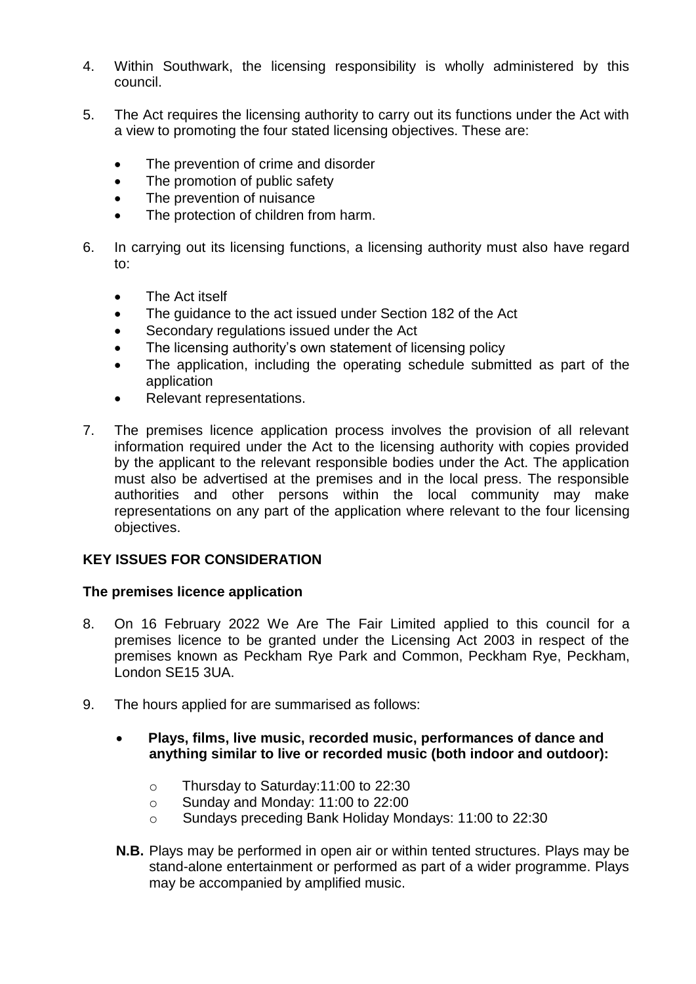- 4. Within Southwark, the licensing responsibility is wholly administered by this council.
- 5. The Act requires the licensing authority to carry out its functions under the Act with a view to promoting the four stated licensing objectives. These are:
	- The prevention of crime and disorder
	- The promotion of public safety
	- The prevention of nuisance
	- The protection of children from harm.
- 6. In carrying out its licensing functions, a licensing authority must also have regard to:
	- The Act itself
	- The guidance to the act issued under Section 182 of the Act
	- Secondary regulations issued under the Act
	- The licensing authority's own statement of licensing policy
	- The application, including the operating schedule submitted as part of the application
	- Relevant representations.
- 7. The premises licence application process involves the provision of all relevant information required under the Act to the licensing authority with copies provided by the applicant to the relevant responsible bodies under the Act. The application must also be advertised at the premises and in the local press. The responsible authorities and other persons within the local community may make representations on any part of the application where relevant to the four licensing objectives.

# **KEY ISSUES FOR CONSIDERATION**

# **The premises licence application**

- 8. On 16 February 2022 We Are The Fair Limited applied to this council for a premises licence to be granted under the Licensing Act 2003 in respect of the premises known as Peckham Rye Park and Common, Peckham Rye, Peckham, London SE15 3UA.
- 9. The hours applied for are summarised as follows:
	- **Plays, films, live music, recorded music, performances of dance and anything similar to live or recorded music (both indoor and outdoor):**
		- o Thursday to Saturday:11:00 to 22:30
		- o Sunday and Monday: 11:00 to 22:00
		- o Sundays preceding Bank Holiday Mondays: 11:00 to 22:30
	- **N.B.** Plays may be performed in open air or within tented structures. Plays may be stand-alone entertainment or performed as part of a wider programme. Plays may be accompanied by amplified music.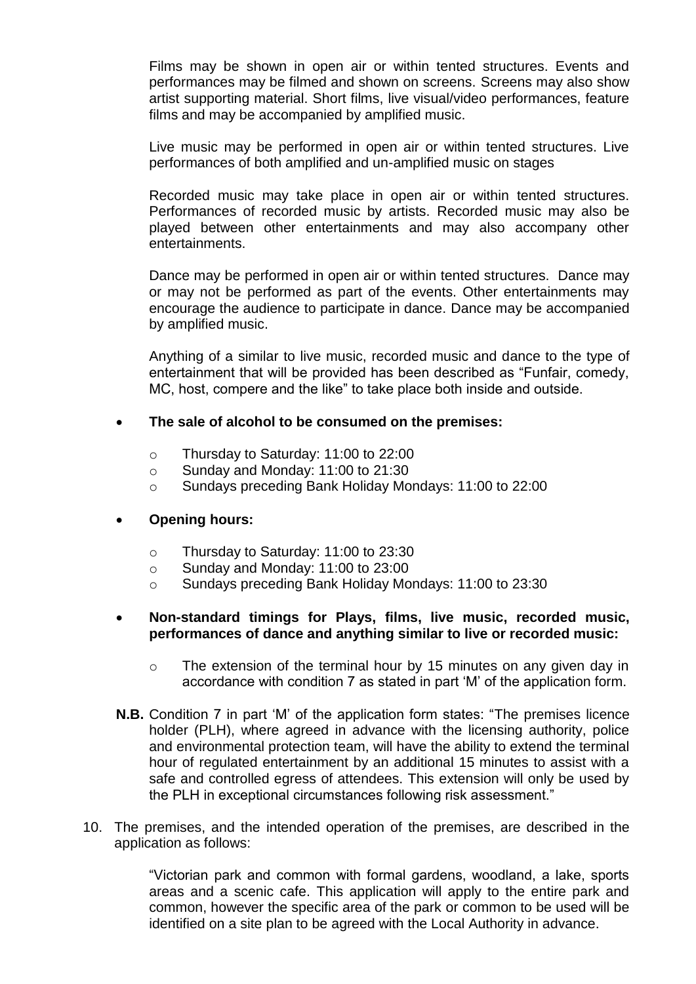Films may be shown in open air or within tented structures. Events and performances may be filmed and shown on screens. Screens may also show artist supporting material. Short films, live visual/video performances, feature films and may be accompanied by amplified music.

Live music may be performed in open air or within tented structures. Live performances of both amplified and un-amplified music on stages

Recorded music may take place in open air or within tented structures. Performances of recorded music by artists. Recorded music may also be played between other entertainments and may also accompany other entertainments.

Dance may be performed in open air or within tented structures. Dance may or may not be performed as part of the events. Other entertainments may encourage the audience to participate in dance. Dance may be accompanied by amplified music.

Anything of a similar to live music, recorded music and dance to the type of entertainment that will be provided has been described as "Funfair, comedy, MC, host, compere and the like" to take place both inside and outside.

# **The sale of alcohol to be consumed on the premises:**

- o Thursday to Saturday: 11:00 to 22:00
- o Sunday and Monday: 11:00 to 21:30
- o Sundays preceding Bank Holiday Mondays: 11:00 to 22:00

# **Opening hours:**

- o Thursday to Saturday: 11:00 to 23:30
- o Sunday and Monday: 11:00 to 23:00
- o Sundays preceding Bank Holiday Mondays: 11:00 to 23:30

#### **Non-standard timings for Plays, films, live music, recorded music, performances of dance and anything similar to live or recorded music:**

- o The extension of the terminal hour by 15 minutes on any given day in accordance with condition 7 as stated in part 'M' of the application form.
- **N.B.** Condition 7 in part 'M' of the application form states: "The premises licence holder (PLH), where agreed in advance with the licensing authority, police and environmental protection team, will have the ability to extend the terminal hour of regulated entertainment by an additional 15 minutes to assist with a safe and controlled egress of attendees. This extension will only be used by the PLH in exceptional circumstances following risk assessment."
- 10. The premises, and the intended operation of the premises, are described in the application as follows:

"Victorian park and common with formal gardens, woodland, a lake, sports areas and a scenic cafe. This application will apply to the entire park and common, however the specific area of the park or common to be used will be identified on a site plan to be agreed with the Local Authority in advance.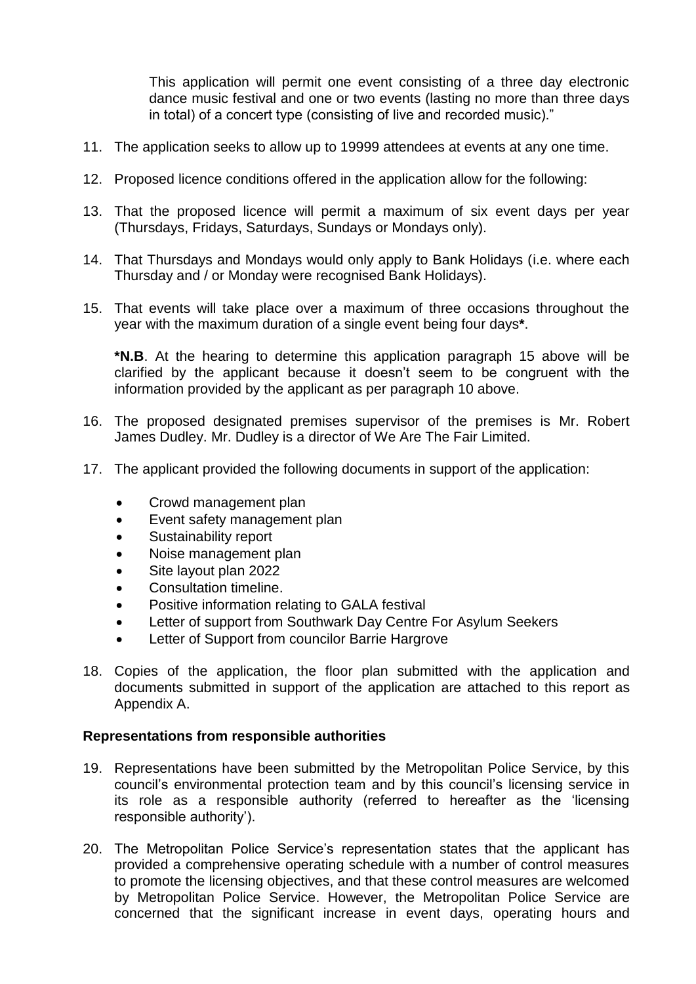This application will permit one event consisting of a three day electronic dance music festival and one or two events (lasting no more than three days in total) of a concert type (consisting of live and recorded music)."

- 11. The application seeks to allow up to 19999 attendees at events at any one time.
- 12. Proposed licence conditions offered in the application allow for the following:
- 13. That the proposed licence will permit a maximum of six event days per year (Thursdays, Fridays, Saturdays, Sundays or Mondays only).
- 14. That Thursdays and Mondays would only apply to Bank Holidays (i.e. where each Thursday and / or Monday were recognised Bank Holidays).
- 15. That events will take place over a maximum of three occasions throughout the year with the maximum duration of a single event being four days**\***.

**\*N.B**. At the hearing to determine this application paragraph 15 above will be clarified by the applicant because it doesn't seem to be congruent with the information provided by the applicant as per paragraph 10 above.

- 16. The proposed designated premises supervisor of the premises is Mr. Robert James Dudley. Mr. Dudley is a director of We Are The Fair Limited.
- 17. The applicant provided the following documents in support of the application:
	- Crowd management plan
	- Event safety management plan
	- Sustainability report
	- Noise management plan
	- Site layout plan 2022
	- Consultation timeline.
	- Positive information relating to GALA festival
	- Letter of support from Southwark Day Centre For Asylum Seekers
	- Letter of Support from councilor Barrie Hargrove
- 18. Copies of the application, the floor plan submitted with the application and documents submitted in support of the application are attached to this report as Appendix A.

#### **Representations from responsible authorities**

- 19. Representations have been submitted by the Metropolitan Police Service, by this council's environmental protection team and by this council's licensing service in its role as a responsible authority (referred to hereafter as the 'licensing responsible authority').
- 20. The Metropolitan Police Service's representation states that the applicant has provided a comprehensive operating schedule with a number of control measures to promote the licensing objectives, and that these control measures are welcomed by Metropolitan Police Service. However, the Metropolitan Police Service are concerned that the significant increase in event days, operating hours and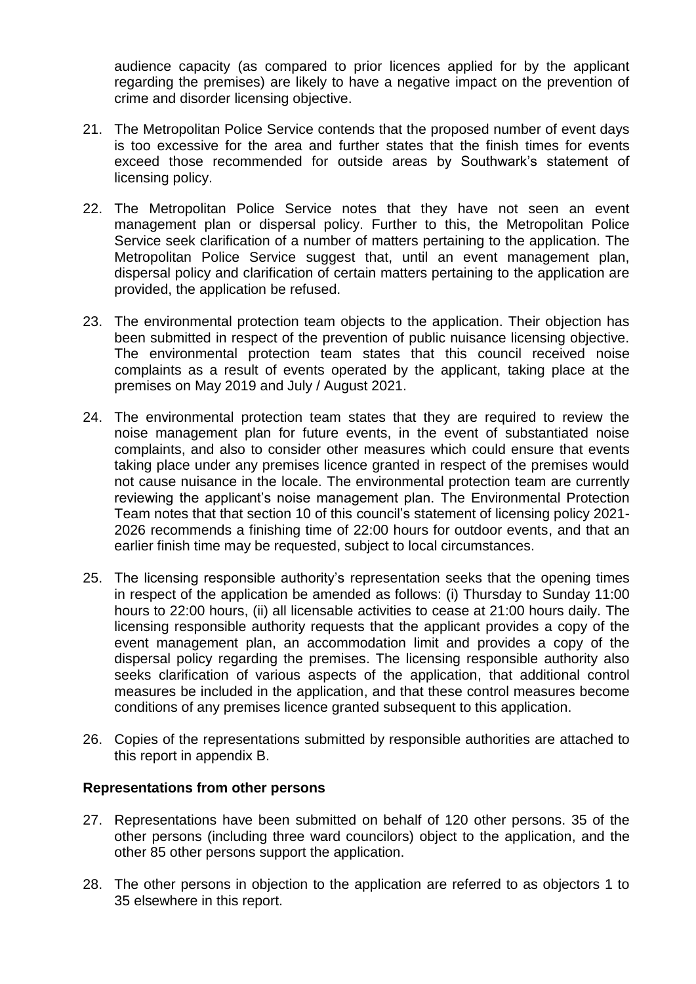audience capacity (as compared to prior licences applied for by the applicant regarding the premises) are likely to have a negative impact on the prevention of crime and disorder licensing objective.

- 21. The Metropolitan Police Service contends that the proposed number of event days is too excessive for the area and further states that the finish times for events exceed those recommended for outside areas by Southwark's statement of licensing policy.
- 22. The Metropolitan Police Service notes that they have not seen an event management plan or dispersal policy. Further to this, the Metropolitan Police Service seek clarification of a number of matters pertaining to the application. The Metropolitan Police Service suggest that, until an event management plan, dispersal policy and clarification of certain matters pertaining to the application are provided, the application be refused.
- 23. The environmental protection team objects to the application. Their objection has been submitted in respect of the prevention of public nuisance licensing objective. The environmental protection team states that this council received noise complaints as a result of events operated by the applicant, taking place at the premises on May 2019 and July / August 2021.
- 24. The environmental protection team states that they are required to review the noise management plan for future events, in the event of substantiated noise complaints, and also to consider other measures which could ensure that events taking place under any premises licence granted in respect of the premises would not cause nuisance in the locale. The environmental protection team are currently reviewing the applicant's noise management plan. The Environmental Protection Team notes that that section 10 of this council's statement of licensing policy 2021- 2026 recommends a finishing time of 22:00 hours for outdoor events, and that an earlier finish time may be requested, subject to local circumstances.
- 25. The licensing responsible authority's representation seeks that the opening times in respect of the application be amended as follows: (i) Thursday to Sunday 11:00 hours to 22:00 hours, (ii) all licensable activities to cease at 21:00 hours daily. The licensing responsible authority requests that the applicant provides a copy of the event management plan, an accommodation limit and provides a copy of the dispersal policy regarding the premises. The licensing responsible authority also seeks clarification of various aspects of the application, that additional control measures be included in the application, and that these control measures become conditions of any premises licence granted subsequent to this application.
- 26. Copies of the representations submitted by responsible authorities are attached to this report in appendix B.

# **Representations from other persons**

- 27. Representations have been submitted on behalf of 120 other persons. 35 of the other persons (including three ward councilors) object to the application, and the other 85 other persons support the application.
- 28. The other persons in objection to the application are referred to as objectors 1 to 35 elsewhere in this report.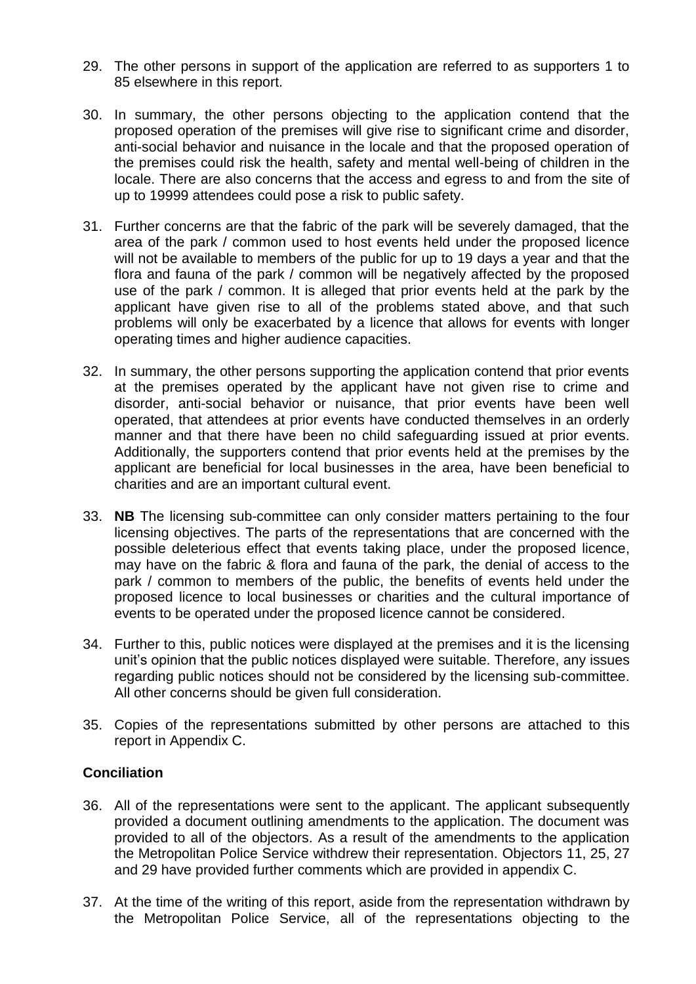- 29. The other persons in support of the application are referred to as supporters 1 to 85 elsewhere in this report.
- 30. In summary, the other persons objecting to the application contend that the proposed operation of the premises will give rise to significant crime and disorder, anti-social behavior and nuisance in the locale and that the proposed operation of the premises could risk the health, safety and mental well-being of children in the locale. There are also concerns that the access and egress to and from the site of up to 19999 attendees could pose a risk to public safety.
- 31. Further concerns are that the fabric of the park will be severely damaged, that the area of the park / common used to host events held under the proposed licence will not be available to members of the public for up to 19 days a year and that the flora and fauna of the park / common will be negatively affected by the proposed use of the park / common. It is alleged that prior events held at the park by the applicant have given rise to all of the problems stated above, and that such problems will only be exacerbated by a licence that allows for events with longer operating times and higher audience capacities.
- 32. In summary, the other persons supporting the application contend that prior events at the premises operated by the applicant have not given rise to crime and disorder, anti-social behavior or nuisance, that prior events have been well operated, that attendees at prior events have conducted themselves in an orderly manner and that there have been no child safeguarding issued at prior events. Additionally, the supporters contend that prior events held at the premises by the applicant are beneficial for local businesses in the area, have been beneficial to charities and are an important cultural event.
- 33. **NB** The licensing sub-committee can only consider matters pertaining to the four licensing objectives. The parts of the representations that are concerned with the possible deleterious effect that events taking place, under the proposed licence, may have on the fabric & flora and fauna of the park, the denial of access to the park / common to members of the public, the benefits of events held under the proposed licence to local businesses or charities and the cultural importance of events to be operated under the proposed licence cannot be considered.
- 34. Further to this, public notices were displayed at the premises and it is the licensing unit's opinion that the public notices displayed were suitable. Therefore, any issues regarding public notices should not be considered by the licensing sub-committee. All other concerns should be given full consideration.
- 35. Copies of the representations submitted by other persons are attached to this report in Appendix C.

# **Conciliation**

- 36. All of the representations were sent to the applicant. The applicant subsequently provided a document outlining amendments to the application. The document was provided to all of the objectors. As a result of the amendments to the application the Metropolitan Police Service withdrew their representation. Objectors 11, 25, 27 and 29 have provided further comments which are provided in appendix C.
- 37. At the time of the writing of this report, aside from the representation withdrawn by the Metropolitan Police Service, all of the representations objecting to the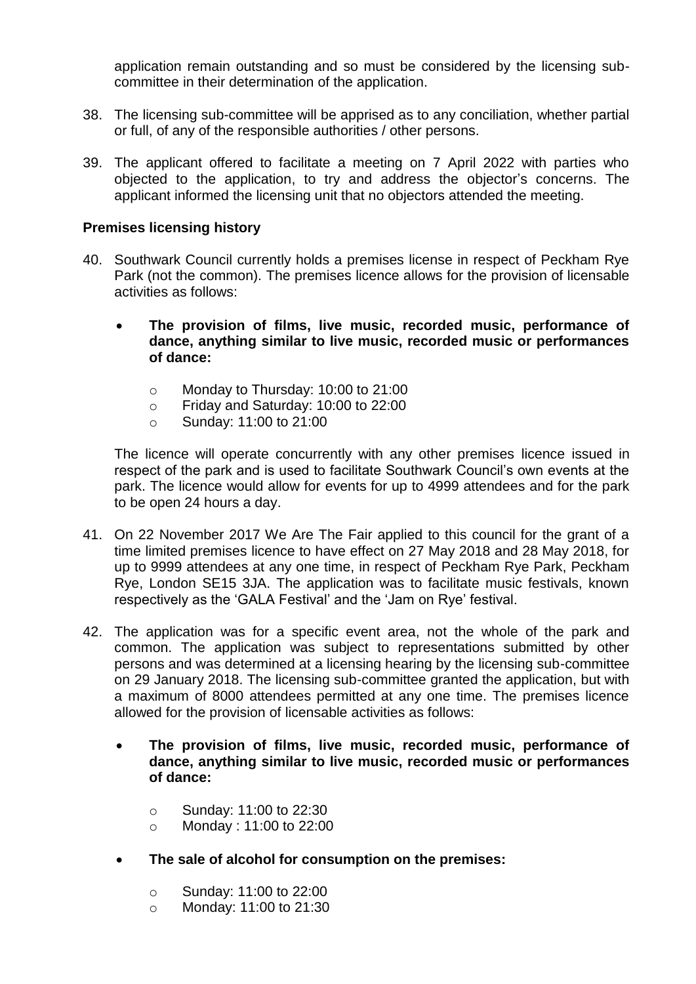application remain outstanding and so must be considered by the licensing subcommittee in their determination of the application.

- 38. The licensing sub-committee will be apprised as to any conciliation, whether partial or full, of any of the responsible authorities / other persons.
- 39. The applicant offered to facilitate a meeting on 7 April 2022 with parties who objected to the application, to try and address the objector's concerns. The applicant informed the licensing unit that no objectors attended the meeting.

# **Premises licensing history**

- 40. Southwark Council currently holds a premises license in respect of Peckham Rye Park (not the common). The premises licence allows for the provision of licensable activities as follows:
	- **The provision of films, live music, recorded music, performance of dance, anything similar to live music, recorded music or performances of dance:**
		- o Monday to Thursday: 10:00 to 21:00
		- o Friday and Saturday: 10:00 to 22:00
		- o Sunday: 11:00 to 21:00

The licence will operate concurrently with any other premises licence issued in respect of the park and is used to facilitate Southwark Council's own events at the park. The licence would allow for events for up to 4999 attendees and for the park to be open 24 hours a day.

- 41. On 22 November 2017 We Are The Fair applied to this council for the grant of a time limited premises licence to have effect on 27 May 2018 and 28 May 2018, for up to 9999 attendees at any one time, in respect of Peckham Rye Park, Peckham Rye, London SE15 3JA. The application was to facilitate music festivals, known respectively as the 'GALA Festival' and the 'Jam on Rye' festival.
- 42. The application was for a specific event area, not the whole of the park and common. The application was subject to representations submitted by other persons and was determined at a licensing hearing by the licensing sub-committee on 29 January 2018. The licensing sub-committee granted the application, but with a maximum of 8000 attendees permitted at any one time. The premises licence allowed for the provision of licensable activities as follows:
	- **The provision of films, live music, recorded music, performance of dance, anything similar to live music, recorded music or performances of dance:**
		- o Sunday: 11:00 to 22:30
		- o Monday : 11:00 to 22:00
	- **The sale of alcohol for consumption on the premises:**
		- o Sunday: 11:00 to 22:00
		- o Monday: 11:00 to 21:30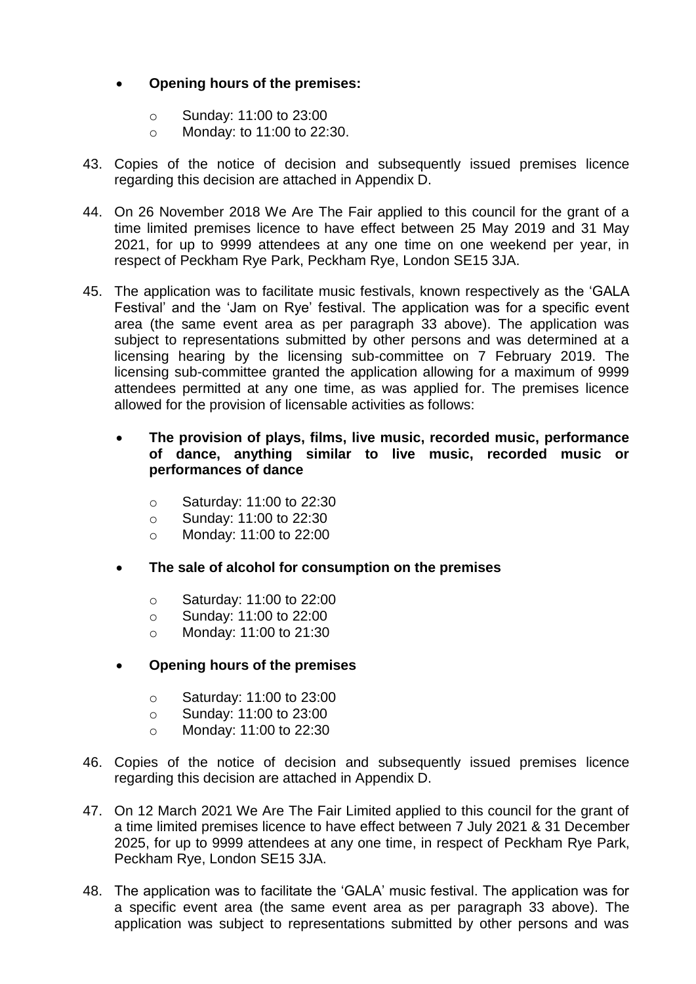# **Opening hours of the premises:**

- o Sunday: 11:00 to 23:00
- o Monday: to 11:00 to 22:30.
- 43. Copies of the notice of decision and subsequently issued premises licence regarding this decision are attached in Appendix D.
- 44. On 26 November 2018 We Are The Fair applied to this council for the grant of a time limited premises licence to have effect between 25 May 2019 and 31 May 2021, for up to 9999 attendees at any one time on one weekend per year, in respect of Peckham Rye Park, Peckham Rye, London SE15 3JA.
- 45. The application was to facilitate music festivals, known respectively as the 'GALA Festival' and the 'Jam on Rye' festival. The application was for a specific event area (the same event area as per paragraph 33 above). The application was subject to representations submitted by other persons and was determined at a licensing hearing by the licensing sub-committee on 7 February 2019. The licensing sub-committee granted the application allowing for a maximum of 9999 attendees permitted at any one time, as was applied for. The premises licence allowed for the provision of licensable activities as follows:
	- **The provision of plays, films, live music, recorded music, performance of dance, anything similar to live music, recorded music or performances of dance**
		- o Saturday: 11:00 to 22:30
		- o Sunday: 11:00 to 22:30
		- o Monday: 11:00 to 22:00
	- **The sale of alcohol for consumption on the premises**
		- o Saturday: 11:00 to 22:00
		- o Sunday: 11:00 to 22:00
		- o Monday: 11:00 to 21:30
	- **Opening hours of the premises** 
		- o Saturday: 11:00 to 23:00
		- o Sunday: 11:00 to 23:00
		- o Monday: 11:00 to 22:30
- 46. Copies of the notice of decision and subsequently issued premises licence regarding this decision are attached in Appendix D.
- 47. On 12 March 2021 We Are The Fair Limited applied to this council for the grant of a time limited premises licence to have effect between 7 July 2021 & 31 December 2025, for up to 9999 attendees at any one time, in respect of Peckham Rye Park, Peckham Rye, London SE15 3JA.
- 48. The application was to facilitate the 'GALA' music festival. The application was for a specific event area (the same event area as per paragraph 33 above). The application was subject to representations submitted by other persons and was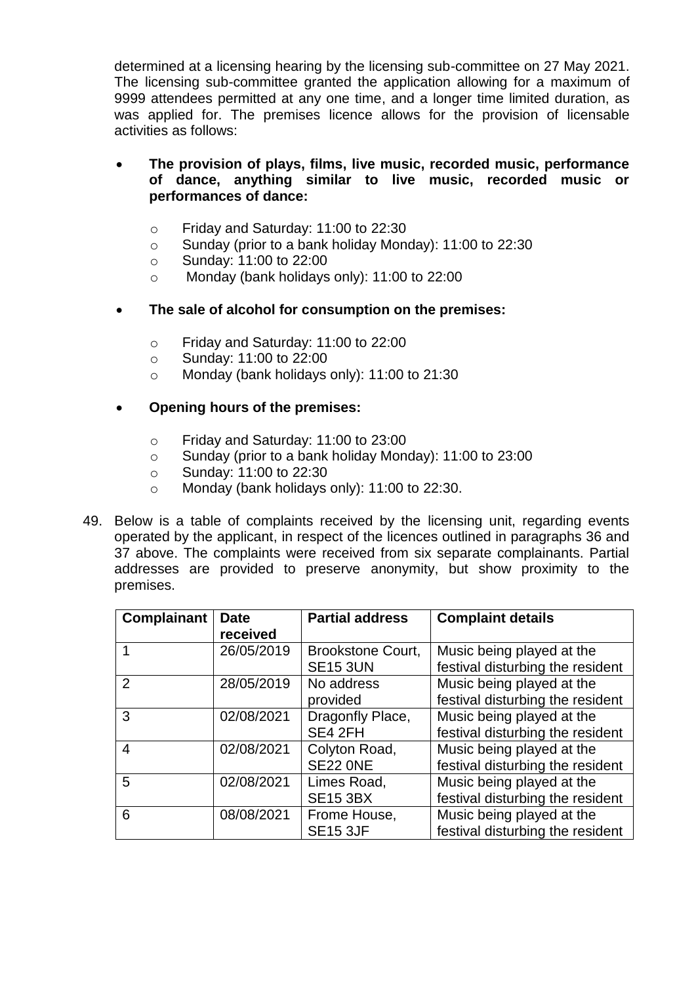determined at a licensing hearing by the licensing sub-committee on 27 May 2021. The licensing sub-committee granted the application allowing for a maximum of 9999 attendees permitted at any one time, and a longer time limited duration, as was applied for. The premises licence allows for the provision of licensable activities as follows:

# **The provision of plays, films, live music, recorded music, performance of dance, anything similar to live music, recorded music or performances of dance:**

- o Friday and Saturday: 11:00 to 22:30
- o Sunday (prior to a bank holiday Monday): 11:00 to 22:30
- o Sunday: 11:00 to 22:00
- o Monday (bank holidays only): 11:00 to 22:00
- **The sale of alcohol for consumption on the premises:**
	- o Friday and Saturday: 11:00 to 22:00
	- o Sunday: 11:00 to 22:00
	- o Monday (bank holidays only): 11:00 to 21:30

# **Opening hours of the premises:**

- o Friday and Saturday: 11:00 to 23:00
- o Sunday (prior to a bank holiday Monday): 11:00 to 23:00
- o Sunday: 11:00 to 22:30
- o Monday (bank holidays only): 11:00 to 22:30.
- 49. Below is a table of complaints received by the licensing unit, regarding events operated by the applicant, in respect of the licences outlined in paragraphs 36 and 37 above. The complaints were received from six separate complainants. Partial addresses are provided to preserve anonymity, but show proximity to the premises.

| Complainant    | <b>Date</b><br>received | <b>Partial address</b>                      | <b>Complaint details</b>                                      |
|----------------|-------------------------|---------------------------------------------|---------------------------------------------------------------|
|                | 26/05/2019              | <b>Brookstone Court,</b><br><b>SE15 3UN</b> | Music being played at the<br>festival disturbing the resident |
| $\overline{2}$ | 28/05/2019              | No address<br>provided                      | Music being played at the<br>festival disturbing the resident |
| 3              | 02/08/2021              | Dragonfly Place,<br>SE4 2FH                 | Music being played at the<br>festival disturbing the resident |
| 4              | 02/08/2021              | Colyton Road,<br><b>SE22 ONE</b>            | Music being played at the<br>festival disturbing the resident |
| 5              | 02/08/2021              | Limes Road,<br><b>SE15 3BX</b>              | Music being played at the<br>festival disturbing the resident |
| 6              | 08/08/2021              | Frome House,<br><b>SE15 3JF</b>             | Music being played at the<br>festival disturbing the resident |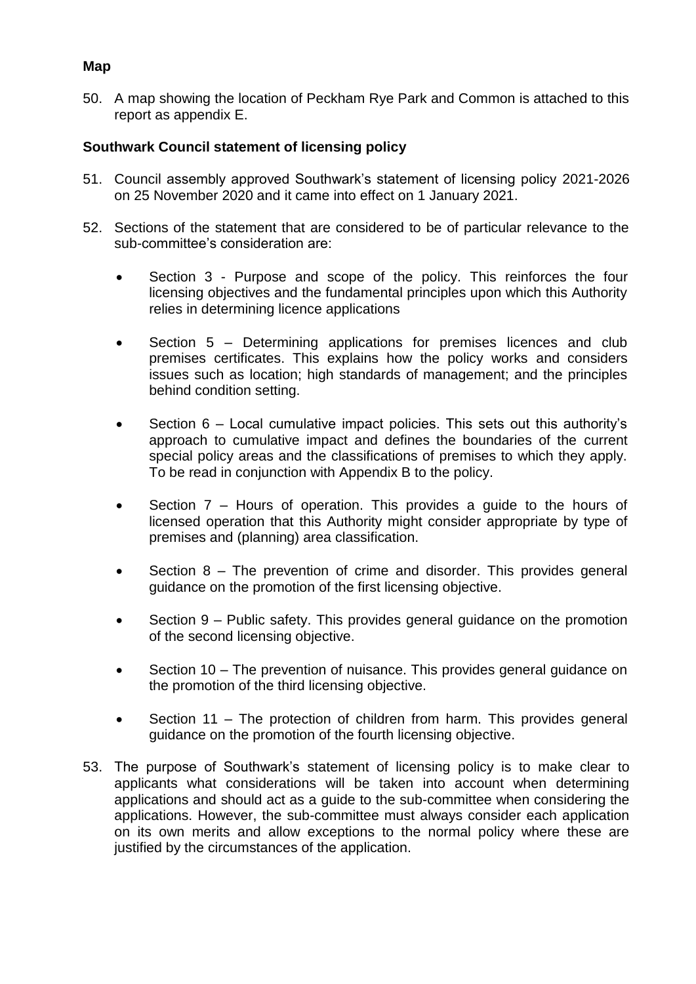# **Map**

50. A map showing the location of Peckham Rye Park and Common is attached to this report as appendix E.

# **Southwark Council statement of licensing policy**

- 51. Council assembly approved Southwark's statement of licensing policy 2021-2026 on 25 November 2020 and it came into effect on 1 January 2021.
- 52. Sections of the statement that are considered to be of particular relevance to the sub-committee's consideration are:
	- Section 3 Purpose and scope of the policy. This reinforces the four licensing objectives and the fundamental principles upon which this Authority relies in determining licence applications
	- Section 5 Determining applications for premises licences and club premises certificates. This explains how the policy works and considers issues such as location; high standards of management; and the principles behind condition setting.
	- Section 6 Local cumulative impact policies. This sets out this authority's approach to cumulative impact and defines the boundaries of the current special policy areas and the classifications of premises to which they apply. To be read in conjunction with Appendix B to the policy.
	- Section 7 Hours of operation. This provides a guide to the hours of licensed operation that this Authority might consider appropriate by type of premises and (planning) area classification.
	- Section 8 The prevention of crime and disorder. This provides general guidance on the promotion of the first licensing objective.
	- Section 9 Public safety. This provides general guidance on the promotion of the second licensing objective.
	- Section 10 The prevention of nuisance. This provides general guidance on the promotion of the third licensing objective.
	- Section 11 The protection of children from harm. This provides general guidance on the promotion of the fourth licensing objective.
- 53. The purpose of Southwark's statement of licensing policy is to make clear to applicants what considerations will be taken into account when determining applications and should act as a guide to the sub-committee when considering the applications. However, the sub-committee must always consider each application on its own merits and allow exceptions to the normal policy where these are justified by the circumstances of the application.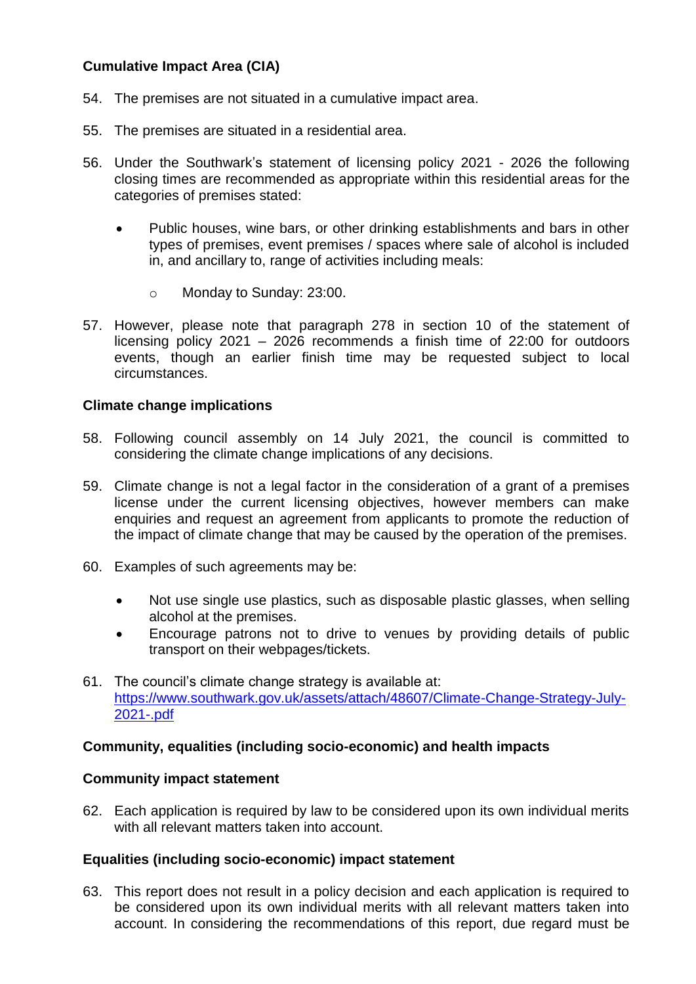# **Cumulative Impact Area (CIA)**

- 54. The premises are not situated in a cumulative impact area.
- 55. The premises are situated in a residential area.
- 56. Under the Southwark's statement of licensing policy 2021 2026 the following closing times are recommended as appropriate within this residential areas for the categories of premises stated:
	- Public houses, wine bars, or other drinking establishments and bars in other types of premises, event premises / spaces where sale of alcohol is included in, and ancillary to, range of activities including meals:
		- o Monday to Sunday: 23:00.
- 57. However, please note that paragraph 278 in section 10 of the statement of licensing policy 2021 – 2026 recommends a finish time of 22:00 for outdoors events, though an earlier finish time may be requested subject to local circumstances.

# **Climate change implications**

- 58. Following council assembly on 14 July 2021, the council is committed to considering the climate change implications of any decisions.
- 59. Climate change is not a legal factor in the consideration of a grant of a premises license under the current licensing objectives, however members can make enquiries and request an agreement from applicants to promote the reduction of the impact of climate change that may be caused by the operation of the premises.
- 60. Examples of such agreements may be:
	- Not use single use plastics, such as disposable plastic glasses, when selling alcohol at the premises.
	- Encourage patrons not to drive to venues by providing details of public transport on their webpages/tickets.
- 61. The council's climate change strategy is available at: [https://www.southwark.gov.uk/assets/attach/48607/Climate-Change-Strategy-July-](https://www.southwark.gov.uk/assets/attach/48607/Climate-Change-Strategy-July-2021-.pdf)[2021-.pdf](https://www.southwark.gov.uk/assets/attach/48607/Climate-Change-Strategy-July-2021-.pdf)

# **Community, equalities (including socio-economic) and health impacts**

#### **Community impact statement**

62. Each application is required by law to be considered upon its own individual merits with all relevant matters taken into account.

#### **Equalities (including socio-economic) impact statement**

63. This report does not result in a policy decision and each application is required to be considered upon its own individual merits with all relevant matters taken into account. In considering the recommendations of this report, due regard must be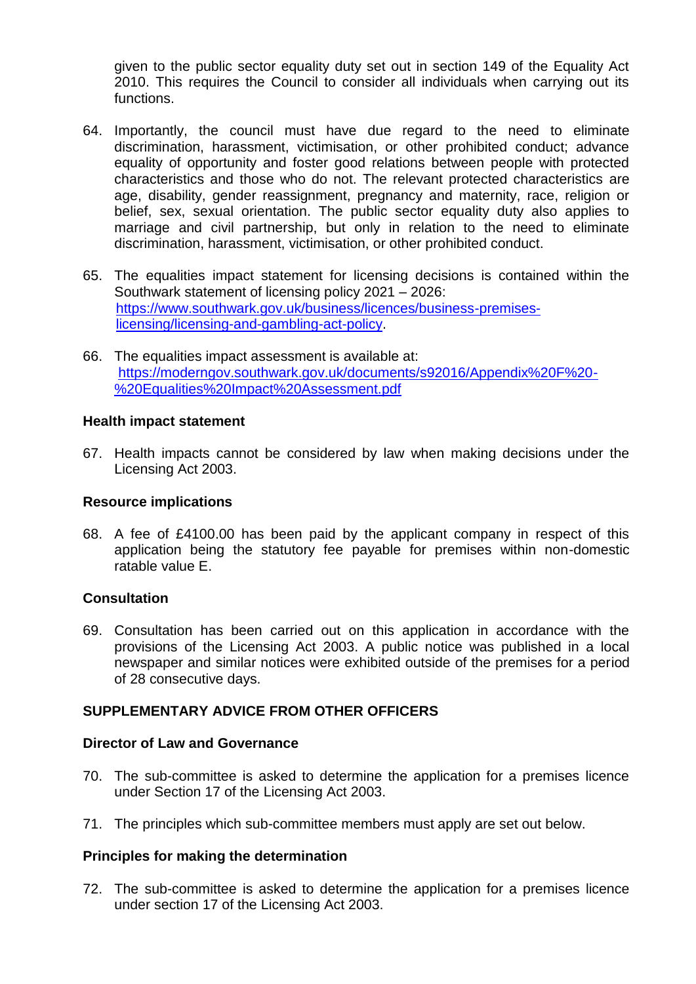given to the public sector equality duty set out in section 149 of the Equality Act 2010. This requires the Council to consider all individuals when carrying out its functions.

- 64. Importantly, the council must have due regard to the need to eliminate discrimination, harassment, victimisation, or other prohibited conduct; advance equality of opportunity and foster good relations between people with protected characteristics and those who do not. The relevant protected characteristics are age, disability, gender reassignment, pregnancy and maternity, race, religion or belief, sex, sexual orientation. The public sector equality duty also applies to marriage and civil partnership, but only in relation to the need to eliminate discrimination, harassment, victimisation, or other prohibited conduct.
- 65. The equalities impact statement for licensing decisions is contained within the Southwark statement of licensing policy 2021 – 2026: [https://www.southwark.gov.uk/business/licences/business-premises](https://www.southwark.gov.uk/business/licences/business-premises-licensing/licensing-and-gambling-act-policy)[licensing/licensing-and-gambling-act-policy.](https://www.southwark.gov.uk/business/licences/business-premises-licensing/licensing-and-gambling-act-policy)
- 66. The equalities impact assessment is available at: [https://moderngov.southwark.gov.uk/documents/s92016/Appendix%20F%20-](https://moderngov.southwark.gov.uk/documents/s92016/Appendix%20F%20-%20Equalities%20Impact%20Assessment.pdf) [%20Equalities%20Impact%20Assessment.pdf](https://moderngov.southwark.gov.uk/documents/s92016/Appendix%20F%20-%20Equalities%20Impact%20Assessment.pdf)

#### **Health impact statement**

67. Health impacts cannot be considered by law when making decisions under the Licensing Act 2003.

#### **Resource implications**

68. A fee of £4100.00 has been paid by the applicant company in respect of this application being the statutory fee payable for premises within non-domestic ratable value E.

# **Consultation**

69. Consultation has been carried out on this application in accordance with the provisions of the Licensing Act 2003. A public notice was published in a local newspaper and similar notices were exhibited outside of the premises for a period of 28 consecutive days.

# **SUPPLEMENTARY ADVICE FROM OTHER OFFICERS**

#### **Director of Law and Governance**

- 70. The sub-committee is asked to determine the application for a premises licence under Section 17 of the Licensing Act 2003.
- 71. The principles which sub-committee members must apply are set out below.

#### **Principles for making the determination**

72. The sub-committee is asked to determine the application for a premises licence under section 17 of the Licensing Act 2003.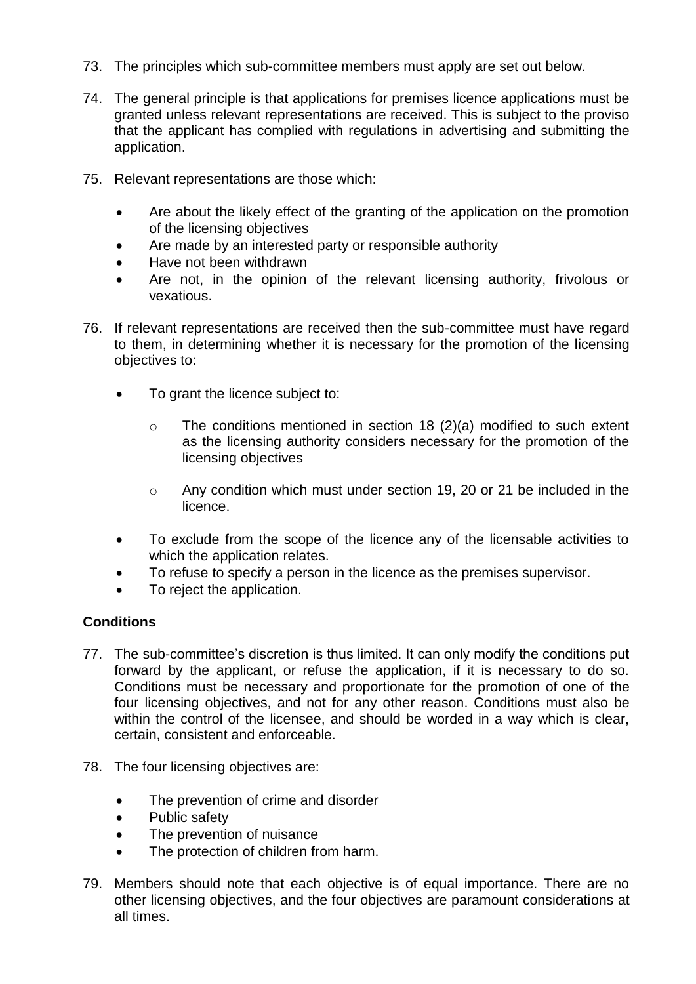- 73. The principles which sub-committee members must apply are set out below.
- 74. The general principle is that applications for premises licence applications must be granted unless relevant representations are received. This is subject to the proviso that the applicant has complied with regulations in advertising and submitting the application.
- 75. Relevant representations are those which:
	- Are about the likely effect of the granting of the application on the promotion of the licensing objectives
	- Are made by an interested party or responsible authority
	- Have not been withdrawn
	- Are not, in the opinion of the relevant licensing authority, frivolous or vexatious.
- 76. If relevant representations are received then the sub-committee must have regard to them, in determining whether it is necessary for the promotion of the licensing objectives to:
	- To grant the licence subject to:
		- $\circ$  The conditions mentioned in section 18 (2)(a) modified to such extent as the licensing authority considers necessary for the promotion of the licensing objectives
		- o Any condition which must under section 19, 20 or 21 be included in the licence.
	- To exclude from the scope of the licence any of the licensable activities to which the application relates.
	- To refuse to specify a person in the licence as the premises supervisor.
	- To reject the application.

# **Conditions**

- 77. The sub-committee's discretion is thus limited. It can only modify the conditions put forward by the applicant, or refuse the application, if it is necessary to do so. Conditions must be necessary and proportionate for the promotion of one of the four licensing objectives, and not for any other reason. Conditions must also be within the control of the licensee, and should be worded in a way which is clear, certain, consistent and enforceable.
- 78. The four licensing objectives are:
	- The prevention of crime and disorder
	- Public safety
	- The prevention of nuisance
	- The protection of children from harm.
- 79. Members should note that each objective is of equal importance. There are no other licensing objectives, and the four objectives are paramount considerations at all times.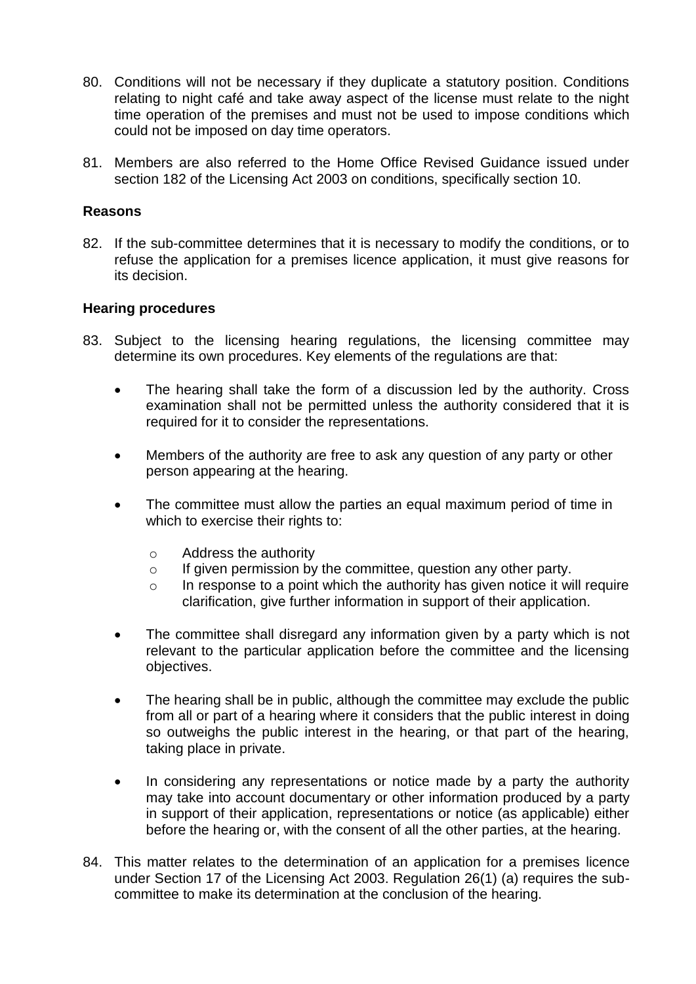- 80. Conditions will not be necessary if they duplicate a statutory position. Conditions relating to night café and take away aspect of the license must relate to the night time operation of the premises and must not be used to impose conditions which could not be imposed on day time operators.
- 81. Members are also referred to the Home Office Revised Guidance issued under section 182 of the Licensing Act 2003 on conditions, specifically section 10.

### **Reasons**

82. If the sub-committee determines that it is necessary to modify the conditions, or to refuse the application for a premises licence application, it must give reasons for its decision.

#### **Hearing procedures**

- 83. Subject to the licensing hearing regulations, the licensing committee may determine its own procedures. Key elements of the regulations are that:
	- The hearing shall take the form of a discussion led by the authority. Cross examination shall not be permitted unless the authority considered that it is required for it to consider the representations.
	- Members of the authority are free to ask any question of any party or other person appearing at the hearing.
	- The committee must allow the parties an equal maximum period of time in which to exercise their rights to:
		- o Address the authority
		- o If given permission by the committee, question any other party.
		- $\circ$  In response to a point which the authority has given notice it will require clarification, give further information in support of their application.
	- The committee shall disregard any information given by a party which is not relevant to the particular application before the committee and the licensing objectives.
	- The hearing shall be in public, although the committee may exclude the public from all or part of a hearing where it considers that the public interest in doing so outweighs the public interest in the hearing, or that part of the hearing, taking place in private.
	- In considering any representations or notice made by a party the authority may take into account documentary or other information produced by a party in support of their application, representations or notice (as applicable) either before the hearing or, with the consent of all the other parties, at the hearing.
- 84. This matter relates to the determination of an application for a premises licence under Section 17 of the Licensing Act 2003. Regulation 26(1) (a) requires the subcommittee to make its determination at the conclusion of the hearing.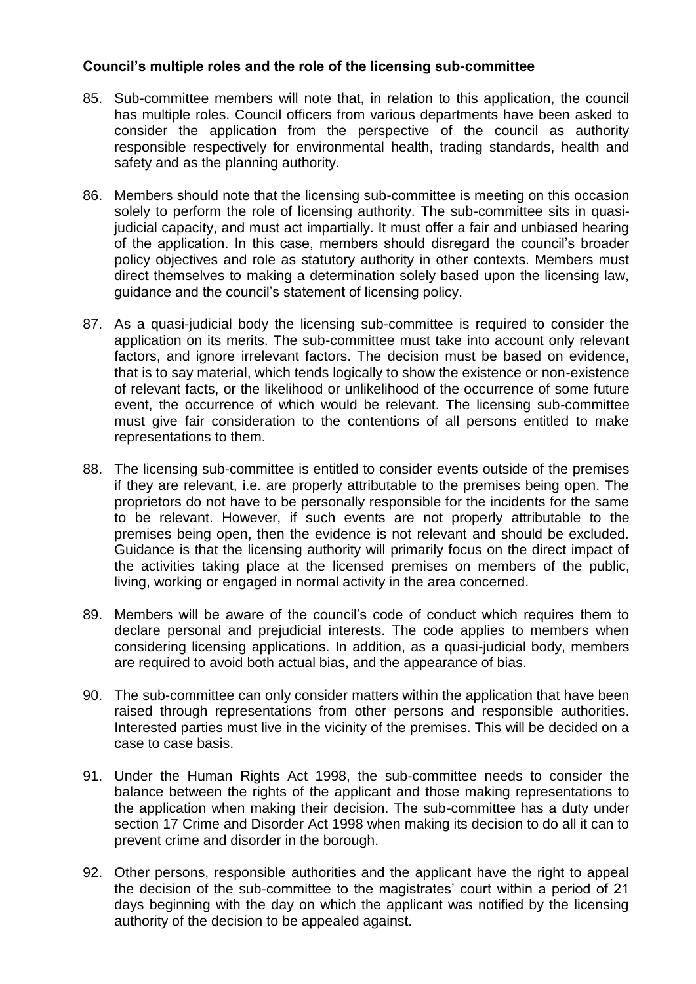# **Council's multiple roles and the role of the licensing sub-committee**

- 85. Sub-committee members will note that, in relation to this application, the council has multiple roles. Council officers from various departments have been asked to consider the application from the perspective of the council as authority responsible respectively for environmental health, trading standards, health and safety and as the planning authority.
- 86. Members should note that the licensing sub-committee is meeting on this occasion solely to perform the role of licensing authority. The sub-committee sits in quasijudicial capacity, and must act impartially. It must offer a fair and unbiased hearing of the application. In this case, members should disregard the council's broader policy objectives and role as statutory authority in other contexts. Members must direct themselves to making a determination solely based upon the licensing law, guidance and the council's statement of licensing policy.
- 87. As a quasi-judicial body the licensing sub-committee is required to consider the application on its merits. The sub-committee must take into account only relevant factors, and ignore irrelevant factors. The decision must be based on evidence, that is to say material, which tends logically to show the existence or non-existence of relevant facts, or the likelihood or unlikelihood of the occurrence of some future event, the occurrence of which would be relevant. The licensing sub-committee must give fair consideration to the contentions of all persons entitled to make representations to them.
- 88. The licensing sub-committee is entitled to consider events outside of the premises if they are relevant, i.e. are properly attributable to the premises being open. The proprietors do not have to be personally responsible for the incidents for the same to be relevant. However, if such events are not properly attributable to the premises being open, then the evidence is not relevant and should be excluded. Guidance is that the licensing authority will primarily focus on the direct impact of the activities taking place at the licensed premises on members of the public, living, working or engaged in normal activity in the area concerned.
- 89. Members will be aware of the council's code of conduct which requires them to declare personal and prejudicial interests. The code applies to members when considering licensing applications. In addition, as a quasi-judicial body, members are required to avoid both actual bias, and the appearance of bias.
- 90. The sub-committee can only consider matters within the application that have been raised through representations from other persons and responsible authorities. Interested parties must live in the vicinity of the premises. This will be decided on a case to case basis.
- 91. Under the Human Rights Act 1998, the sub-committee needs to consider the balance between the rights of the applicant and those making representations to the application when making their decision. The sub-committee has a duty under section 17 Crime and Disorder Act 1998 when making its decision to do all it can to prevent crime and disorder in the borough.
- 92. Other persons, responsible authorities and the applicant have the right to appeal the decision of the sub-committee to the magistrates' court within a period of 21 days beginning with the day on which the applicant was notified by the licensing authority of the decision to be appealed against.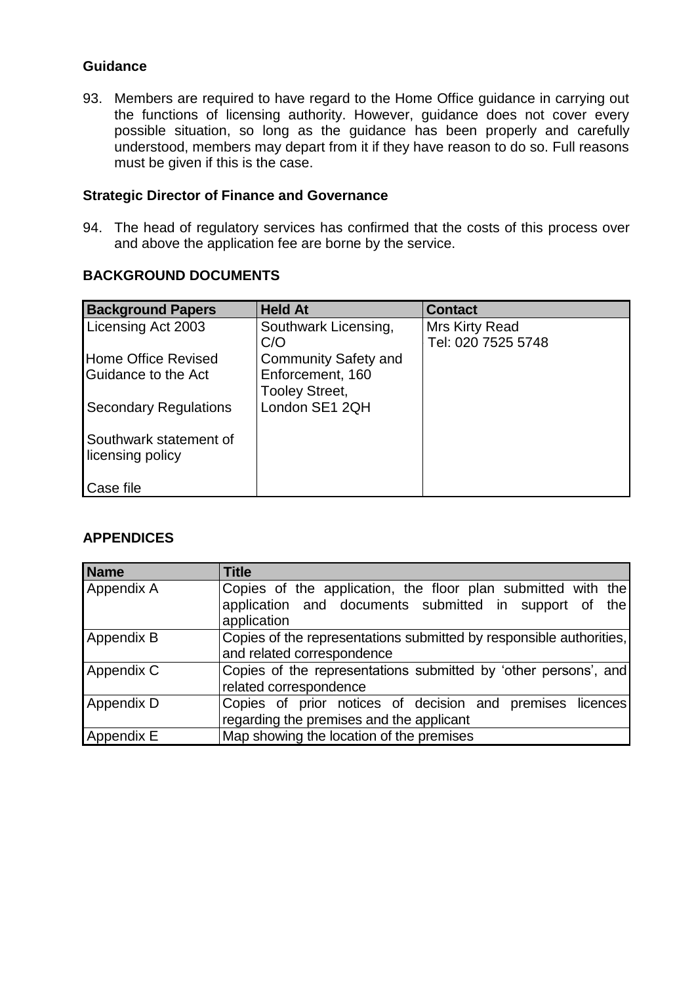# **Guidance**

93. Members are required to have regard to the Home Office guidance in carrying out the functions of licensing authority. However, guidance does not cover every possible situation, so long as the guidance has been properly and carefully understood, members may depart from it if they have reason to do so. Full reasons must be given if this is the case.

# **Strategic Director of Finance and Governance**

94. The head of regulatory services has confirmed that the costs of this process over and above the application fee are borne by the service.

# **BACKGROUND DOCUMENTS**

| <b>Background Papers</b>                   | <b>Held At</b>              | <b>Contact</b>     |
|--------------------------------------------|-----------------------------|--------------------|
| Licensing Act 2003                         | Southwark Licensing,        | Mrs Kirty Read     |
|                                            | C/O                         | Tel: 020 7525 5748 |
| <b>Home Office Revised</b>                 | <b>Community Safety and</b> |                    |
| Guidance to the Act                        | Enforcement, 160            |                    |
|                                            | Tooley Street,              |                    |
| <b>Secondary Regulations</b>               | London SE1 2QH              |                    |
| Southwark statement of<br>licensing policy |                             |                    |
| Case file                                  |                             |                    |

# **APPENDICES**

| <b>Name</b> | <b>Title</b>                                                                                                                         |
|-------------|--------------------------------------------------------------------------------------------------------------------------------------|
| Appendix A  | Copies of the application, the floor plan submitted with the<br>application and documents submitted in support of the<br>application |
| Appendix B  | Copies of the representations submitted by responsible authorities,<br>and related correspondence                                    |
| Appendix C  | Copies of the representations submitted by 'other persons', and<br>related correspondence                                            |
| Appendix D  | Copies of prior notices of decision and premises licences<br>regarding the premises and the applicant                                |
| Appendix E  | Map showing the location of the premises                                                                                             |